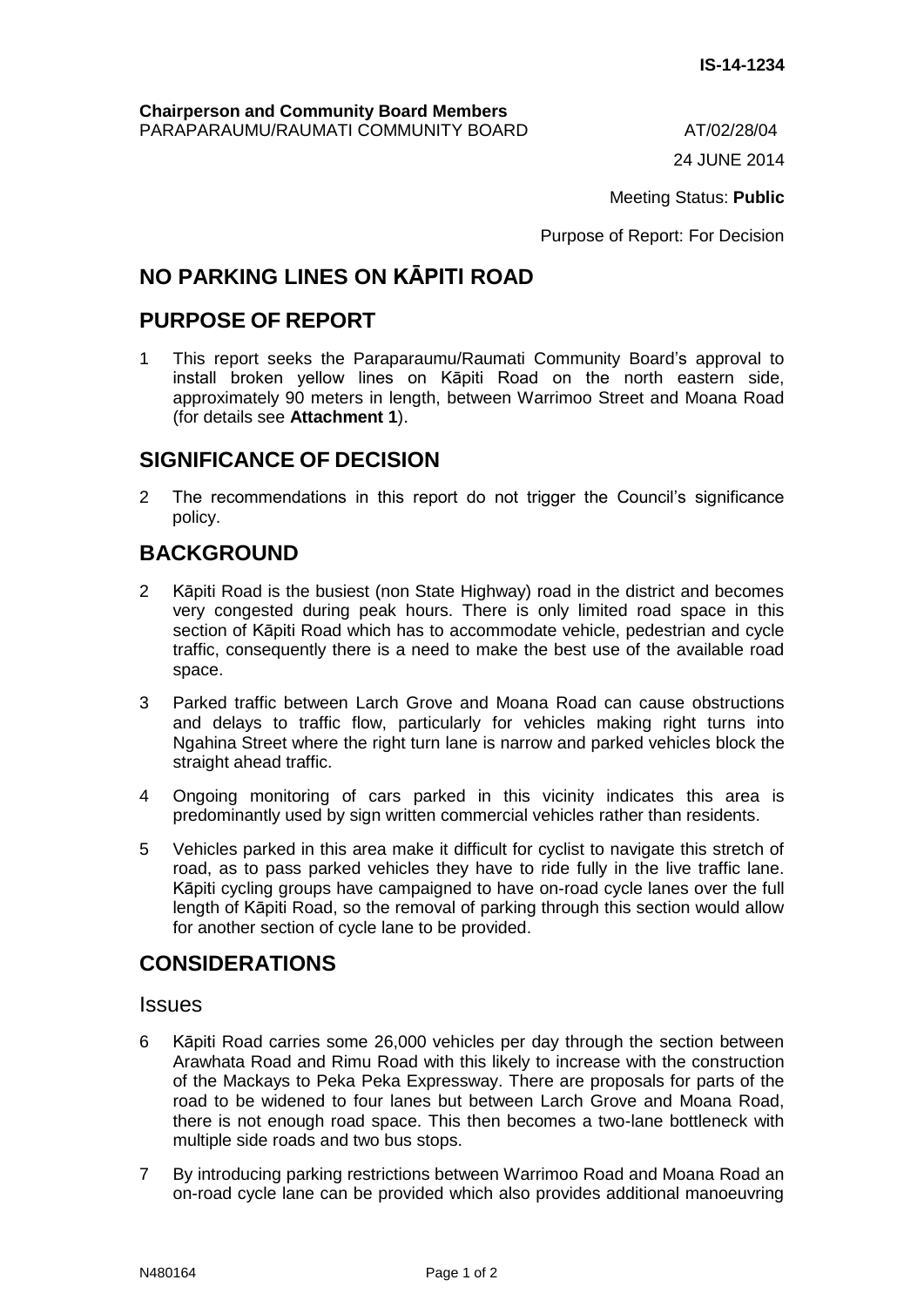24 JUNE 2014

Meeting Status: **Public**

Purpose of Report: For Decision

# **NO PARKING LINES ON KĀPITI ROAD**

### **PURPOSE OF REPORT**

1 This report seeks the Paraparaumu/Raumati Community Board's approval to install broken yellow lines on Kāpiti Road on the north eastern side, approximately 90 meters in length, between Warrimoo Street and Moana Road (for details see **Attachment 1**).

### **SIGNIFICANCE OF DECISION**

2 The recommendations in this report do not trigger the Council's significance policy.

## **BACKGROUND**

- 2 Kāpiti Road is the busiest (non State Highway) road in the district and becomes very congested during peak hours. There is only limited road space in this section of Kāpiti Road which has to accommodate vehicle, pedestrian and cycle traffic, consequently there is a need to make the best use of the available road space.
- 3 Parked traffic between Larch Grove and Moana Road can cause obstructions and delays to traffic flow, particularly for vehicles making right turns into Ngahina Street where the right turn lane is narrow and parked vehicles block the straight ahead traffic.
- 4 Ongoing monitoring of cars parked in this vicinity indicates this area is predominantly used by sign written commercial vehicles rather than residents.
- 5 Vehicles parked in this area make it difficult for cyclist to navigate this stretch of road, as to pass parked vehicles they have to ride fully in the live traffic lane. Kāpiti cycling groups have campaigned to have on-road cycle lanes over the full length of Kāpiti Road, so the removal of parking through this section would allow for another section of cycle lane to be provided.

### **CONSIDERATIONS**

#### **Issues**

- 6 Kāpiti Road carries some 26,000 vehicles per day through the section between Arawhata Road and Rimu Road with this likely to increase with the construction of the Mackays to Peka Peka Expressway. There are proposals for parts of the road to be widened to four lanes but between Larch Grove and Moana Road, there is not enough road space. This then becomes a two-lane bottleneck with multiple side roads and two bus stops.
- 7 By introducing parking restrictions between Warrimoo Road and Moana Road an on-road cycle lane can be provided which also provides additional manoeuvring